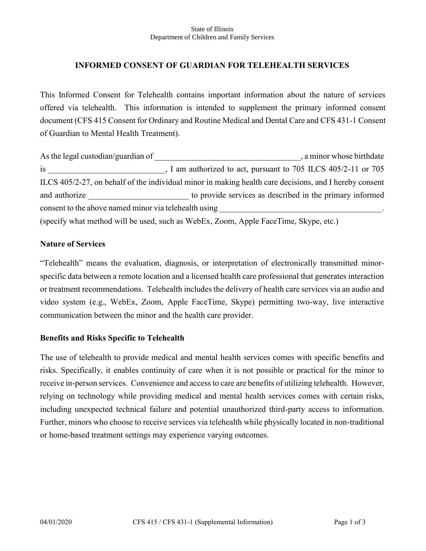#### State of Illinois Department of Children and Family Services

# **INFORMED CONSENT OF GUARDIAN FOR TELEHEALTH SERVICES**

This Informed Consent for Telehealth contains important information about the nature of services offered via telehealth. This information is intended to supplement the primary informed consent document (CFS 415 Consent for Ordinary and Routine Medical and Dental Care and CFS 431-1 Consent of Guardian to Mental Health Treatment).

As the legal custodian/guardian of \_\_\_\_\_\_\_\_\_\_\_\_\_\_\_\_\_\_\_\_\_\_\_\_\_\_\_\_\_\_\_\_\_\_\_, a minor whose birthdate is is a set of the sum of the sum of the sum of the sum of the sum of the sum of the sum of the sum of the sum of the sum of the sum of the sum of the sum of the sum of the sum of the sum of the sum of the sum of the sum o ILCS 405/2-27, on behalf of the individual minor in making health care decisions, and I hereby consent and authorize to provide services as described in the primary informed consent to the above named minor via telehealth using (specify what method will be used, such as WebEx, Zoom, Apple FaceTime, Skype, etc.)

### **Nature of Services**

"Telehealth" means the evaluation, diagnosis, or interpretation of electronically transmitted minorspecific data between a remote location and a licensed health care professional that generates interaction or treatment recommendations. Telehealth includes the delivery of health care services via an audio and video system (e.g., WebEx, Zoom, Apple FaceTime, Skype) permitting two-way, live interactive communication between the minor and the health care provider.

## **Benefits and Risks Specific to Telehealth**

The use of telehealth to provide medical and mental health services comes with specific benefits and risks. Specifically, it enables continuity of care when it is not possible or practical for the minor to receive in-person services. Convenience and access to care are benefits of utilizing telehealth. However, relying on technology while providing medical and mental health services comes with certain risks, including unexpected technical failure and potential unauthorized third-party access to information. Further, minors who choose to receive services via telehealth while physically located in non-traditional or home-based treatment settings may experience varying outcomes.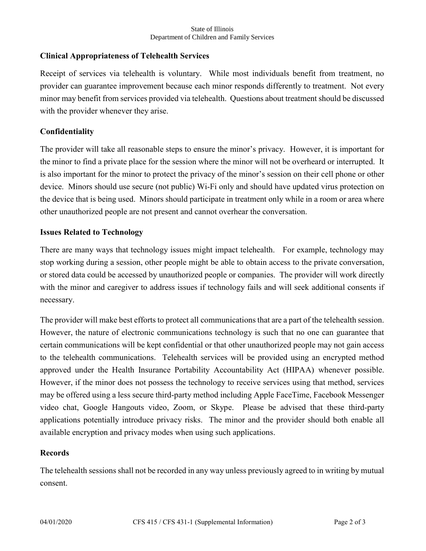#### State of Illinois Department of Children and Family Services

# **Clinical Appropriateness of Telehealth Services**

Receipt of services via telehealth is voluntary. While most individuals benefit from treatment, no provider can guarantee improvement because each minor responds differently to treatment. Not every minor may benefit from services provided via telehealth. Questions about treatment should be discussed with the provider whenever they arise.

# **Confidentiality**

The provider will take all reasonable steps to ensure the minor's privacy. However, it is important for the minor to find a private place for the session where the minor will not be overheard or interrupted. It is also important for the minor to protect the privacy of the minor's session on their cell phone or other device. Minors should use secure (not public) Wi-Fi only and should have updated virus protection on the device that is being used. Minors should participate in treatment only while in a room or area where other unauthorized people are not present and cannot overhear the conversation.

## **Issues Related to Technology**

There are many ways that technology issues might impact telehealth. For example, technology may stop working during a session, other people might be able to obtain access to the private conversation, or stored data could be accessed by unauthorized people or companies. The provider will work directly with the minor and caregiver to address issues if technology fails and will seek additional consents if necessary.

The provider will make best efforts to protect all communications that are a part of the telehealth session. However, the nature of electronic communications technology is such that no one can guarantee that certain communications will be kept confidential or that other unauthorized people may not gain access to the telehealth communications. Telehealth services will be provided using an encrypted method approved under the Health Insurance Portability Accountability Act (HIPAA) whenever possible. However, if the minor does not possess the technology to receive services using that method, services may be offered using a less secure third-party method including Apple FaceTime, Facebook Messenger video chat, Google Hangouts video, Zoom, or Skype. Please be advised that these third-party applications potentially introduce privacy risks. The minor and the provider should both enable all available encryption and privacy modes when using such applications.

## **Records**

The telehealth sessions shall not be recorded in any way unless previously agreed to in writing by mutual consent.